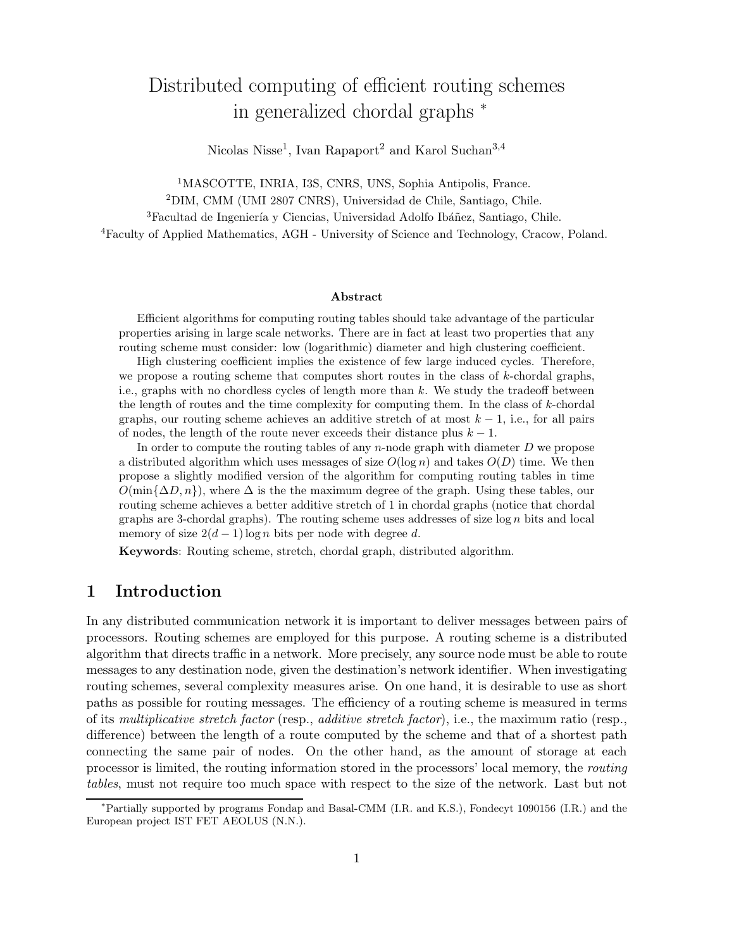# Distributed computing of efficient routing schemes in generalized chordal graphs <sup>∗</sup>

Nicolas Nisse<sup>1</sup>, Ivan Rapaport<sup>2</sup> and Karol Suchan<sup>3,4</sup>

<sup>1</sup>MASCOTTE, INRIA, I3S, CNRS, UNS, Sophia Antipolis, France.

<sup>2</sup>DIM, CMM (UMI 2807 CNRS), Universidad de Chile, Santiago, Chile.

<sup>3</sup>Facultad de Ingeniería y Ciencias, Universidad Adolfo Ibáñez, Santiago, Chile.

<sup>4</sup>Faculty of Applied Mathematics, AGH - University of Science and Technology, Cracow, Poland.

### Abstract

Efficient algorithms for computing routing tables should take advantage of the particular properties arising in large scale networks. There are in fact at least two properties that any routing scheme must consider: low (logarithmic) diameter and high clustering coefficient.

High clustering coefficient implies the existence of few large induced cycles. Therefore, we propose a routing scheme that computes short routes in the class of  $k$ -chordal graphs, i.e., graphs with no chordless cycles of length more than  $k$ . We study the tradeoff between the length of routes and the time complexity for computing them. In the class of k-chordal graphs, our routing scheme achieves an additive stretch of at most  $k - 1$ , i.e., for all pairs of nodes, the length of the route never exceeds their distance plus  $k - 1$ .

In order to compute the routing tables of any  $n$ -node graph with diameter  $D$  we propose a distributed algorithm which uses messages of size  $O(\log n)$  and takes  $O(D)$  time. We then propose a slightly modified version of the algorithm for computing routing tables in time  $O(\min{\{\Delta D, n\}})$ , where  $\Delta$  is the the maximum degree of the graph. Using these tables, our routing scheme achieves a better additive stretch of 1 in chordal graphs (notice that chordal graphs are 3-chordal graphs). The routing scheme uses addresses of size  $\log n$  bits and local memory of size  $2(d-1) \log n$  bits per node with degree d.

Keywords: Routing scheme, stretch, chordal graph, distributed algorithm.

## 1 Introduction

In any distributed communication network it is important to deliver messages between pairs of processors. Routing schemes are employed for this purpose. A routing scheme is a distributed algorithm that directs traffic in a network. More precisely, any source node must be able to route messages to any destination node, given the destination's network identifier. When investigating routing schemes, several complexity measures arise. On one hand, it is desirable to use as short paths as possible for routing messages. The efficiency of a routing scheme is measured in terms of its *multiplicative stretch factor* (resp., *additive stretch factor*), i.e., the maximum ratio (resp., difference) between the length of a route computed by the scheme and that of a shortest path connecting the same pair of nodes. On the other hand, as the amount of storage at each processor is limited, the routing information stored in the processors' local memory, the *routing tables*, must not require too much space with respect to the size of the network. Last but not

<sup>∗</sup>Partially supported by programs Fondap and Basal-CMM (I.R. and K.S.), Fondecyt 1090156 (I.R.) and the European project IST FET AEOLUS (N.N.).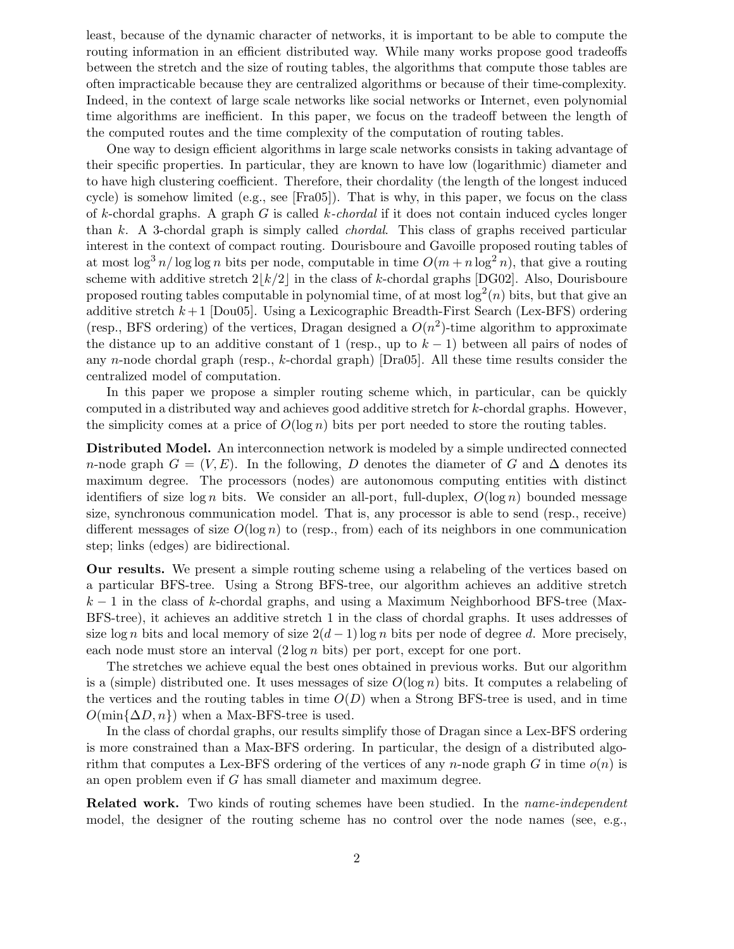least, because of the dynamic character of networks, it is important to be able to compute the routing information in an efficient distributed way. While many works propose good tradeoffs between the stretch and the size of routing tables, the algorithms that compute those tables are often impracticable because they are centralized algorithms or because of their time-complexity. Indeed, in the context of large scale networks like social networks or Internet, even polynomial time algorithms are inefficient. In this paper, we focus on the tradeoff between the length of the computed routes and the time complexity of the computation of routing tables.

One way to design efficient algorithms in large scale networks consists in taking advantage of their specific properties. In particular, they are known to have low (logarithmic) diameter and to have high clustering coefficient. Therefore, their chordality (the length of the longest induced cycle) is somehow limited (e.g., see [Fra05]). That is why, in this paper, we focus on the class of k-chordal graphs. A graph G is called k*-chordal* if it does not contain induced cycles longer than k. A 3-chordal graph is simply called *chordal*. This class of graphs received particular interest in the context of compact routing. Dourisboure and Gavoille proposed routing tables of at most  $\log^3 n / \log \log n$  bits per node, computable in time  $O(m + n \log^2 n)$ , that give a routing scheme with additive stretch  $2|k/2|$  in the class of k-chordal graphs [DG02]. Also, Dourisboure proposed routing tables computable in polynomial time, of at most  $log<sup>2</sup>(n)$  bits, but that give an additive stretch  $k+1$  [Dou05]. Using a Lexicographic Breadth-First Search (Lex-BFS) ordering (resp., BFS ordering) of the vertices, Dragan designed a  $O(n^2)$ -time algorithm to approximate the distance up to an additive constant of 1 (resp., up to  $k-1$ ) between all pairs of nodes of any n-node chordal graph (resp., k-chordal graph) [Dra05]. All these time results consider the centralized model of computation.

In this paper we propose a simpler routing scheme which, in particular, can be quickly computed in a distributed way and achieves good additive stretch for k-chordal graphs. However, the simplicity comes at a price of  $O(\log n)$  bits per port needed to store the routing tables.

Distributed Model. An interconnection network is modeled by a simple undirected connected n-node graph  $G = (V, E)$ . In the following, D denotes the diameter of G and  $\Delta$  denotes its maximum degree. The processors (nodes) are autonomous computing entities with distinct identifiers of size  $\log n$  bits. We consider an all-port, full-duplex,  $O(\log n)$  bounded message size, synchronous communication model. That is, any processor is able to send (resp., receive) different messages of size  $O(\log n)$  to (resp., from) each of its neighbors in one communication step; links (edges) are bidirectional.

Our results. We present a simple routing scheme using a relabeling of the vertices based on a particular BFS-tree. Using a Strong BFS-tree, our algorithm achieves an additive stretch  $k-1$  in the class of k-chordal graphs, and using a Maximum Neighborhood BFS-tree (Max-BFS-tree), it achieves an additive stretch 1 in the class of chordal graphs. It uses addresses of size log n bits and local memory of size  $2(d-1)$  log n bits per node of degree d. More precisely, each node must store an interval  $(2 \log n \text{ bits})$  per port, except for one port.

The stretches we achieve equal the best ones obtained in previous works. But our algorithm is a (simple) distributed one. It uses messages of size  $O(\log n)$  bits. It computes a relabeling of the vertices and the routing tables in time  $O(D)$  when a Strong BFS-tree is used, and in time  $O(\min{\{\Delta D, n\}})$  when a Max-BFS-tree is used.

In the class of chordal graphs, our results simplify those of Dragan since a Lex-BFS ordering is more constrained than a Max-BFS ordering. In particular, the design of a distributed algorithm that computes a Lex-BFS ordering of the vertices of any n-node graph G in time  $o(n)$  is an open problem even if G has small diameter and maximum degree.

Related work. Two kinds of routing schemes have been studied. In the *name-independent* model, the designer of the routing scheme has no control over the node names (see, e.g.,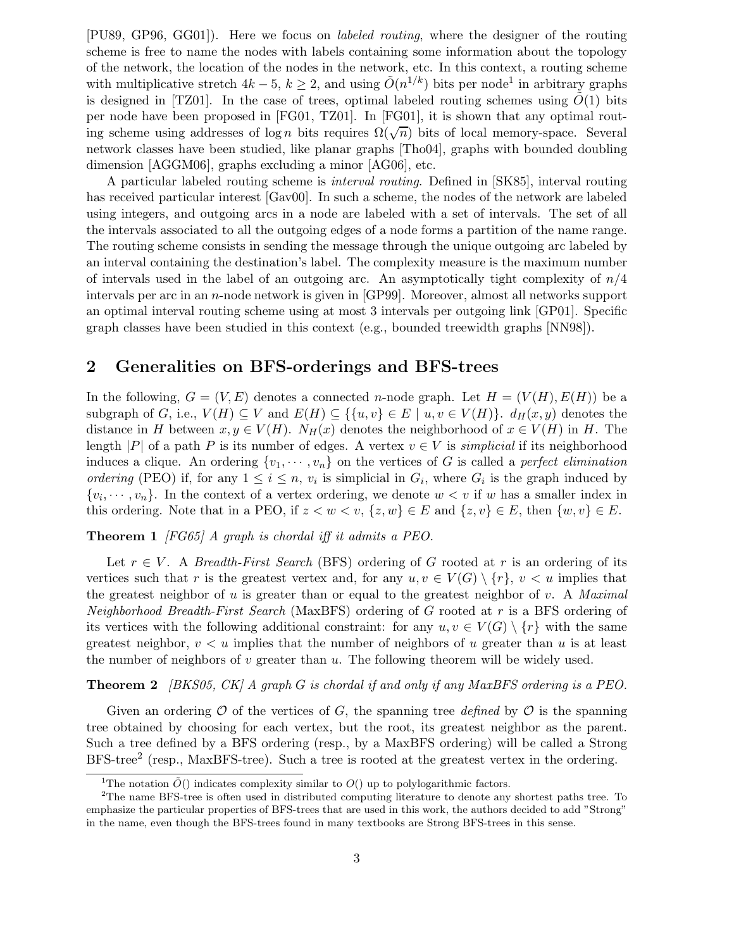[PU89, GP96, GG01]). Here we focus on *labeled routing*, where the designer of the routing scheme is free to name the nodes with labels containing some information about the topology of the network, the location of the nodes in the network, etc. In this context, a routing scheme with multiplicative stretch  $4k-5$ ,  $k \geq 2$ , and using  $\tilde{O}(n^{1/k})$  bits per node<sup>1</sup> in arbitrary graphs is designed in [TZ01]. In the case of trees, optimal labeled routing schemes using  $\tilde{O}(1)$  bits per node have been proposed in [FG01, TZ01]. In [FG01], it is shown that any optimal routing scheme using addresses of  $\log n$  bits requires  $\Omega(\sqrt{n})$  bits of local memory-space. Several network classes have been studied, like planar graphs [Tho04], graphs with bounded doubling dimension [AGGM06], graphs excluding a minor [AG06], etc.

A particular labeled routing scheme is *interval routing*. Defined in [SK85], interval routing has received particular interest [Gav00]. In such a scheme, the nodes of the network are labeled using integers, and outgoing arcs in a node are labeled with a set of intervals. The set of all the intervals associated to all the outgoing edges of a node forms a partition of the name range. The routing scheme consists in sending the message through the unique outgoing arc labeled by an interval containing the destination's label. The complexity measure is the maximum number of intervals used in the label of an outgoing arc. An asymptotically tight complexity of  $n/4$ intervals per arc in an n-node network is given in [GP99]. Moreover, almost all networks support an optimal interval routing scheme using at most 3 intervals per outgoing link [GP01]. Specific graph classes have been studied in this context (e.g., bounded treewidth graphs [NN98]).

## 2 Generalities on BFS-orderings and BFS-trees

In the following,  $G = (V, E)$  denotes a connected *n*-node graph. Let  $H = (V(H), E(H))$  be a subgraph of G, i.e.,  $V(H) \subseteq V$  and  $E(H) \subseteq \{ \{u, v\} \in E \mid u, v \in V(H) \}$ .  $d_H(x, y)$  denotes the distance in H between  $x, y \in V(H)$ .  $N_H(x)$  denotes the neighborhood of  $x \in V(H)$  in H. The length  $|P|$  of a path P is its number of edges. A vertex  $v \in V$  is *simplicial* if its neighborhood induces a clique. An ordering  $\{v_1, \dots, v_n\}$  on the vertices of G is called a *perfect elimination ordering* (PEO) if, for any  $1 \leq i \leq n$ ,  $v_i$  is simplicial in  $G_i$ , where  $G_i$  is the graph induced by  $\{v_i, \dots, v_n\}$ . In the context of a vertex ordering, we denote  $w < v$  if w has a smaller index in this ordering. Note that in a PEO, if  $z < w < v$ ,  $\{z, w\} \in E$  and  $\{z, v\} \in E$ , then  $\{w, v\} \in E$ .

Theorem 1 *[FG65] A graph is chordal iff it admits a PEO.*

Let  $r \in V$ . A *Breadth-First Search* (BFS) ordering of G rooted at r is an ordering of its vertices such that r is the greatest vertex and, for any  $u, v \in V(G) \setminus \{r\}, v < u$  implies that the greatest neighbor of u is greater than or equal to the greatest neighbor of v. A *Maximal Neighborhood Breadth-First Search* (MaxBFS) ordering of G rooted at r is a BFS ordering of its vertices with the following additional constraint: for any  $u, v \in V(G) \setminus \{r\}$  with the same greatest neighbor,  $v < u$  implies that the number of neighbors of u greater than u is at least the number of neighbors of v greater than  $u$ . The following theorem will be widely used.

Theorem 2 *[BKS05, CK] A graph* G *is chordal if and only if any MaxBFS ordering is a PEO.*

Given an ordering  $\mathcal O$  of the vertices of G, the spanning tree *defined* by  $\mathcal O$  is the spanning tree obtained by choosing for each vertex, but the root, its greatest neighbor as the parent. Such a tree defined by a BFS ordering (resp., by a MaxBFS ordering) will be called a Strong BFS-tree<sup>2</sup> (resp., MaxBFS-tree). Such a tree is rooted at the greatest vertex in the ordering.

<sup>&</sup>lt;sup>1</sup>The notation  $\tilde{O}$ () indicates complexity similar to  $O($ ) up to polylogarithmic factors.

<sup>2</sup>The name BFS-tree is often used in distributed computing literature to denote any shortest paths tree. To emphasize the particular properties of BFS-trees that are used in this work, the authors decided to add "Strong" in the name, even though the BFS-trees found in many textbooks are Strong BFS-trees in this sense.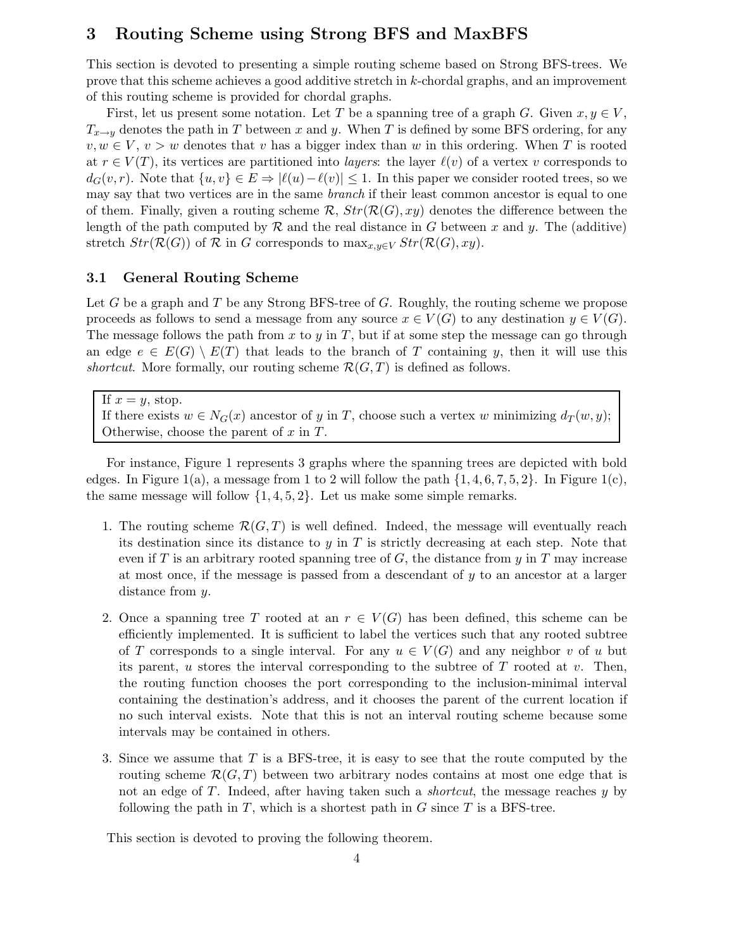## 3 Routing Scheme using Strong BFS and MaxBFS

This section is devoted to presenting a simple routing scheme based on Strong BFS-trees. We prove that this scheme achieves a good additive stretch in k-chordal graphs, and an improvement of this routing scheme is provided for chordal graphs.

First, let us present some notation. Let T be a spanning tree of a graph G. Given  $x, y \in V$ ,  $T_{x\rightarrow y}$  denotes the path in T between x and y. When T is defined by some BFS ordering, for any  $v, w \in V, v > w$  denotes that v has a bigger index than w in this ordering. When T is rooted at  $r \in V(T)$ , its vertices are partitioned into *layers*: the layer  $\ell(v)$  of a vertex v corresponds to  $d_G(v,r)$ . Note that  $\{u,v\} \in E \Rightarrow |\ell(u)-\ell(v)| \leq 1$ . In this paper we consider rooted trees, so we may say that two vertices are in the same *branch* if their least common ancestor is equal to one of them. Finally, given a routing scheme  $\mathcal{R}$ ,  $Str(\mathcal{R}(G),xy)$  denotes the difference between the length of the path computed by  $\mathcal R$  and the real distance in G between x and y. The (additive) stretch  $Str(\mathcal{R}(G))$  of  $\mathcal R$  in G corresponds to  $\max_{x,y\in V} Str(\mathcal{R}(G),xy)$ .

### 3.1 General Routing Scheme

Let G be a graph and T be any Strong BFS-tree of G. Roughly, the routing scheme we propose proceeds as follows to send a message from any source  $x \in V(G)$  to any destination  $y \in V(G)$ . The message follows the path from  $x$  to  $y$  in  $T$ , but if at some step the message can go through an edge  $e \in E(G) \setminus E(T)$  that leads to the branch of T containing y, then it will use this *shortcut*. More formally, our routing scheme  $\mathcal{R}(G,T)$  is defined as follows.

If  $x = y$ , stop.

If there exists  $w \in N_G(x)$  ancestor of y in T, choose such a vertex w minimizing  $d_T(w, y)$ ; Otherwise, choose the parent of  $x$  in  $T$ .

For instance, Figure 1 represents 3 graphs where the spanning trees are depicted with bold edges. In Figure 1(a), a message from 1 to 2 will follow the path  $\{1, 4, 6, 7, 5, 2\}$ . In Figure 1(c), the same message will follow  $\{1, 4, 5, 2\}$ . Let us make some simple remarks.

- 1. The routing scheme  $\mathcal{R}(G,T)$  is well defined. Indeed, the message will eventually reach its destination since its distance to y in  $T$  is strictly decreasing at each step. Note that even if T is an arbitrary rooted spanning tree of  $G$ , the distance from  $y$  in T may increase at most once, if the message is passed from a descendant of  $y$  to an ancestor at a larger distance from y.
- 2. Once a spanning tree T rooted at an  $r \in V(G)$  has been defined, this scheme can be efficiently implemented. It is sufficient to label the vertices such that any rooted subtree of T corresponds to a single interval. For any  $u \in V(G)$  and any neighbor v of u but its parent, u stores the interval corresponding to the subtree of  $T$  rooted at  $v$ . Then, the routing function chooses the port corresponding to the inclusion-minimal interval containing the destination's address, and it chooses the parent of the current location if no such interval exists. Note that this is not an interval routing scheme because some intervals may be contained in others.
- 3. Since we assume that  $T$  is a BFS-tree, it is easy to see that the route computed by the routing scheme  $\mathcal{R}(G,T)$  between two arbitrary nodes contains at most one edge that is not an edge of T. Indeed, after having taken such a *shortcut*, the message reaches y by following the path in  $T$ , which is a shortest path in  $G$  since  $T$  is a BFS-tree.

This section is devoted to proving the following theorem.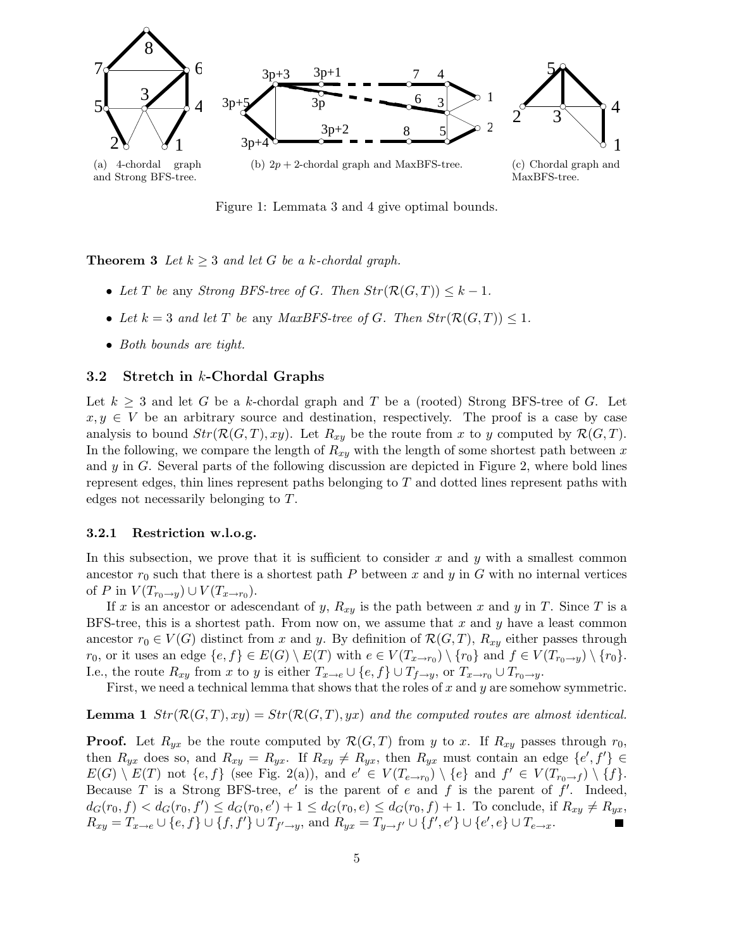

Figure 1: Lemmata 3 and 4 give optimal bounds.

**Theorem 3** Let  $k \geq 3$  and let G be a k-chordal graph.

- Let T be any *Strong BFS-tree of G. Then*  $Str(\mathcal{R}(G,T)) \leq k-1$ .
- Let  $k = 3$  and let T be any *MaxBFS-tree of G. Then*  $Str(\mathcal{R}(G, T)) \leq 1$ .
- *Both bounds are tight.*

## 3.2 Stretch in k-Chordal Graphs

Let  $k \geq 3$  and let G be a k-chordal graph and T be a (rooted) Strong BFS-tree of G. Let  $x, y \in V$  be an arbitrary source and destination, respectively. The proof is a case by case analysis to bound  $Str(\mathcal{R}(G,T),xy)$ . Let  $R_{xy}$  be the route from x to y computed by  $\mathcal{R}(G,T)$ . In the following, we compare the length of  $R_{xy}$  with the length of some shortest path between x and  $y$  in  $G$ . Several parts of the following discussion are depicted in Figure 2, where bold lines represent edges, thin lines represent paths belonging to  $T$  and dotted lines represent paths with edges not necessarily belonging to T.

### 3.2.1 Restriction w.l.o.g.

In this subsection, we prove that it is sufficient to consider x and y with a smallest common ancestor  $r_0$  such that there is a shortest path P between x and y in G with no internal vertices of P in  $V(T_{r_0 \to y}) \cup V(T_{x \to r_0})$ .

If x is an ancestor or adescendant of y,  $R_{xy}$  is the path between x and y in T. Since T is a BFS-tree, this is a shortest path. From now on, we assume that  $x$  and  $y$  have a least common ancestor  $r_0 \in V(G)$  distinct from x and y. By definition of  $\mathcal{R}(G,T)$ ,  $R_{xy}$  either passes through  $r_0$ , or it uses an edge  $\{e, f\} \in E(G) \setminus E(T)$  with  $e \in V(T_{x \to r_0}) \setminus \{r_0\}$  and  $f \in V(T_{r_0 \to y}) \setminus \{r_0\}$ . I.e., the route  $R_{xy}$  from x to y is either  $T_{x\to e} \cup \{e, f\} \cup T_{f\to y}$ , or  $T_{x\to r_0} \cup T_{r_0\to y}$ .

First, we need a technical lemma that shows that the roles of  $x$  and  $y$  are somehow symmetric.

**Lemma 1**  $Str(\mathcal{R}(G,T),xy) = Str(\mathcal{R}(G,T),yx)$  and the computed routes are almost identical.

**Proof.** Let  $R_{yx}$  be the route computed by  $\mathcal{R}(G,T)$  from y to x. If  $R_{xy}$  passes through  $r_0$ , then  $R_{yx}$  does so, and  $R_{xy} = R_{yx}$ . If  $R_{xy} \neq R_{yx}$ , then  $R_{yx}$  must contain an edge  $\{e', f'\} \in$  $E(G) \setminus E(T)$  not  $\{e, f\}$  (see Fig. 2(a)), and  $e' \in V(T_{e \to r_0}) \setminus \{e\}$  and  $f' \in V(T_{r_0 \to f}) \setminus \{f\}$ . Because T is a Strong BFS-tree,  $e'$  is the parent of e and f is the parent of f'. Indeed,  $d_G(r_0, f) < d_G(r_0, f') \leq d_G(r_0, e') + 1 \leq d_G(r_0, e) \leq d_G(r_0, f) + 1$ . To conclude, if  $R_{xy} \neq R_{yx}$ ,  $R_{xy} = T_{x \to e} \cup \{e, f\} \cup \{f, f'\} \cup T_{f' \to y}$ , and  $R_{yx} = T_{y \to f'} \cup \{f', e'\} \cup \{e', e\} \cup T_{e \to x}$ .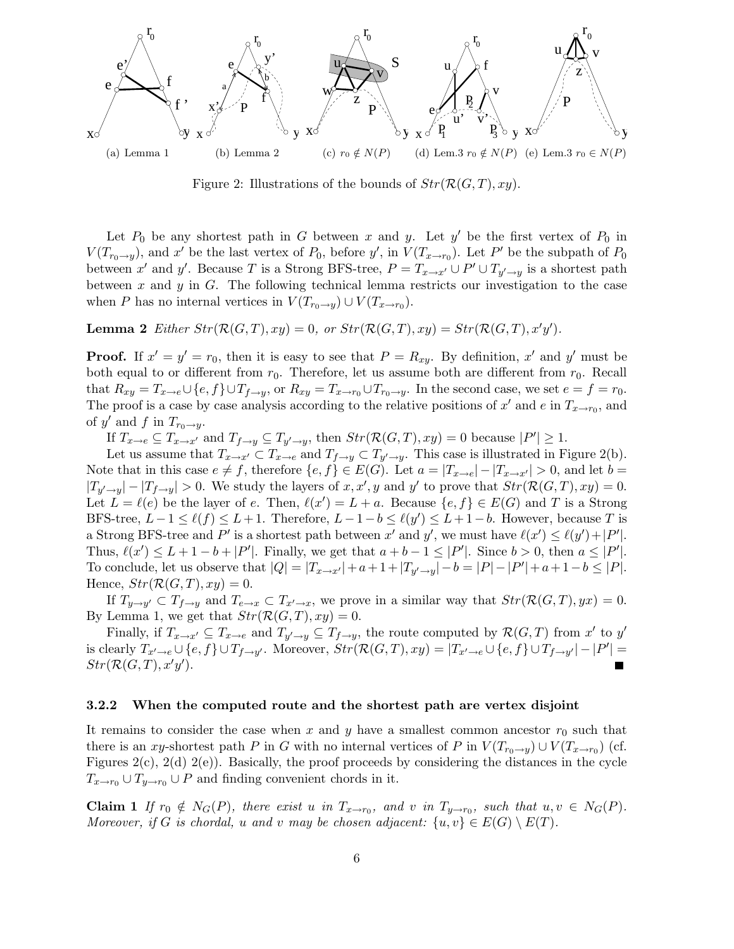

Figure 2: Illustrations of the bounds of  $Str(\mathcal{R}(G,T),xy)$ .

Let  $P_0$  be any shortest path in G between x and y. Let y' be the first vertex of  $P_0$  in  $V(T_{r_0 \to y})$ , and x' be the last vertex of  $P_0$ , before y', in  $V(T_{x \to r_0})$ . Let P' be the subpath of  $P_0$ between x' and y'. Because T is a Strong BFS-tree,  $P = T_{x \to x'} \cup P' \cup T_{y' \to y}$  is a shortest path between x and y in  $G$ . The following technical lemma restricts our investigation to the case when P has no internal vertices in  $V(T_{r_0 \to y}) \cup V(T_{x \to r_0})$ .

**Lemma 2** *Either*  $Str(\mathcal{R}(G,T), xy) = 0$ *, or*  $Str(\mathcal{R}(G,T), xy) = Str(\mathcal{R}(G,T), x'y')$ *.* 

**Proof.** If  $x' = y' = r_0$ , then it is easy to see that  $P = R_{xy}$ . By definition, x' and y' must be both equal to or different from  $r_0$ . Therefore, let us assume both are different from  $r_0$ . Recall that  $R_{xy} = T_{x\to e} \cup \{e, f\} \cup T_{f\to y}$ , or  $R_{xy} = T_{x\to r_0} \cup T_{r_0\to y}$ . In the second case, we set  $e = f = r_0$ . The proof is a case by case analysis according to the relative positions of  $x'$  and  $e$  in  $T_{x\to r_0}$ , and of y' and f in  $T_{r_0 \to y}$ .

If  $T_{x\to e} \subseteq T_{x\to x'}$  and  $T_{f\to y} \subseteq T_{y'\to y}$ , then  $Str(\mathcal{R}(G,T), xy) = 0$  because  $|P'| \geq 1$ .

Let us assume that  $T_{x\to x'} \subset T_{x\to e}$  and  $T_{f\to y} \subset T_{y'\to y}$ . This case is illustrated in Figure 2(b). Note that in this case  $e \neq f$ , therefore  $\{e,f\} \in E(G)$ . Let  $a = |T_{x\to e}| - |T_{x\to x'}| > 0$ , and let  $b =$  $|T_{y'\rightarrow y}| - |T_{f\rightarrow y}| > 0$ . We study the layers of  $x, x', y$  and  $y'$  to prove that  $Str(\mathcal{R}(G,T), xy) = 0$ . Let  $L = \ell(e)$  be the layer of e. Then,  $\ell(x') = L + a$ . Because  $\{e, f\} \in E(G)$  and T is a Strong BFS-tree,  $L-1 \leq \ell(f) \leq L+1$ . Therefore,  $L-1-b \leq \ell(g') \leq L+1-b$ . However, because T is a Strong BFS-tree and P' is a shortest path between x' and y', we must have  $\ell(x') \leq \ell(y') + |P'|$ . Thus,  $\ell(x') \leq L + 1 - b + |P'|$ . Finally, we get that  $a + b - 1 \leq |P'|$ . Since  $b > 0$ , then  $a \leq |P'|$ . To conclude, let us observe that  $|Q| = |T_{x \to x'}| + a + 1 + |T_{y' \to y}| - b = |P| - |P'| + a + 1 - b \le |P|$ . Hence,  $Str(\mathcal{R}(G,T),xy) = 0.$ 

If  $T_{y \to y'} \subset T_{f \to y}$  and  $T_{e \to x} \subset T_{x' \to x}$ , we prove in a similar way that  $Str(\mathcal{R}(G,T),yx) = 0$ . By Lemma 1, we get that  $Str(\mathcal{R}(G,T),xy) = 0$ .

Finally, if  $T_{x\to x'} \subseteq T_{x\to e}$  and  $T_{y'\to y} \subseteq T_{f\to y}$ , the route computed by  $\mathcal{R}(G,T)$  from  $x'$  to  $y'$ is clearly  $T_{x'\to e} \cup \{e, f\} \cup T_{f\to y'}$ . Moreover,  $Str(\mathcal{R}(G,T), xy) = |T_{x'\to e} \cup \{e, f\} \cup T_{f\to y'}| - |P'| =$  $Str(\mathcal{R}(G,T),x'y').$ 

#### 3.2.2 When the computed route and the shortest path are vertex disjoint

It remains to consider the case when x and y have a smallest common ancestor  $r_0$  such that there is an xy-shortest path P in G with no internal vertices of P in  $V(T_{r_0 \to y}) \cup V(T_{x \to r_0})$  (cf. Figures  $2(c)$ ,  $2(d)$   $2(e)$ ). Basically, the proof proceeds by considering the distances in the cycle  $T_{x\to r_0} \cup T_{y\to r_0} \cup P$  and finding convenient chords in it.

**Claim 1** If  $r_0 \notin N_G(P)$ , there exist u in  $T_{x \to r_0}$ , and v in  $T_{y \to r_0}$ , such that  $u, v \in N_G(P)$ . *Moreover, if* G *is chordal,* u and v may be chosen adjacent:  $\{u, v\} \in E(G) \setminus E(T)$ *.*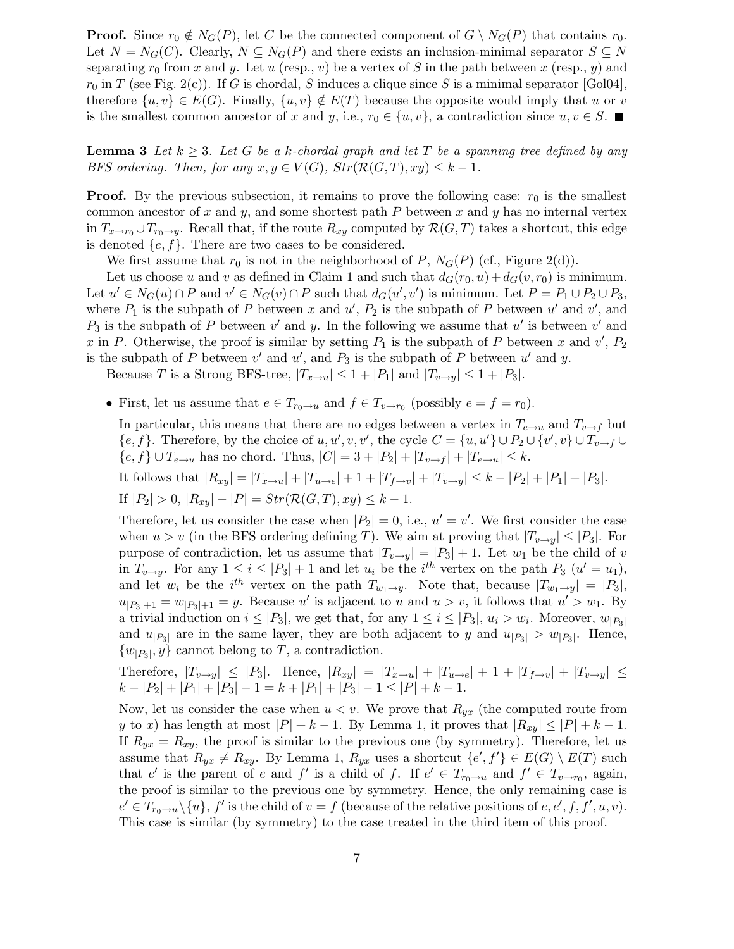**Proof.** Since  $r_0 \notin N_G(P)$ , let C be the connected component of  $G \setminus N_G(P)$  that contains  $r_0$ . Let  $N = N_G(C)$ . Clearly,  $N \subseteq N_G(P)$  and there exists an inclusion-minimal separator  $S \subseteq N$ separating  $r_0$  from x and y. Let u (resp., v) be a vertex of S in the path between x (resp., y) and  $r_0$  in T (see Fig. 2(c)). If G is chordal, S induces a clique since S is a minimal separator [Gol04], therefore  $\{u,v\} \in E(G)$ . Finally,  $\{u,v\} \notin E(T)$  because the opposite would imply that u or v is the smallest common ancestor of x and y, i.e.,  $r_0 \in \{u, v\}$ , a contradiction since  $u, v \in S$ .

**Lemma 3** Let  $k \geq 3$ . Let G be a k-chordal graph and let T be a spanning tree defined by any *BFS ordering. Then, for any*  $x, y \in V(G)$ *,*  $Str(\mathcal{R}(G,T), xy) \leq k - 1$ *.* 

**Proof.** By the previous subsection, it remains to prove the following case:  $r_0$  is the smallest common ancestor of x and y, and some shortest path  $P$  between x and y has no internal vertex in  $T_{x\to r_0} \cup T_{r_0\to y}$ . Recall that, if the route  $R_{xy}$  computed by  $\mathcal{R}(G,T)$  takes a shortcut, this edge is denoted  $\{e, f\}$ . There are two cases to be considered.

We first assume that  $r_0$  is not in the neighborhood of P,  $N_G(P)$  (cf., Figure 2(d)).

Let us choose u and v as defined in Claim 1 and such that  $d_G(r_0, u) + d_G(v, r_0)$  is minimum. Let  $u' \in N_G(u) \cap P$  and  $v' \in N_G(v) \cap P$  such that  $d_G(u', v')$  is minimum. Let  $P = P_1 \cup P_2 \cup P_3$ , where  $P_1$  is the subpath of P between x and  $u'$ ,  $P_2$  is the subpath of P between  $u'$  and  $v'$ , and  $P_3$  is the subpath of P between  $v'$  and y. In the following we assume that u' is between  $v'$  and x in P. Otherwise, the proof is similar by setting  $P_1$  is the subpath of P between x and  $v'$ ,  $P_2$ is the subpath of P between  $v'$  and  $u'$ , and  $P_3$  is the subpath of P between  $u'$  and y.

Because T is a Strong BFS-tree,  $|T_{x\to u}| \leq 1 + |P_1|$  and  $|T_{v\to y}| \leq 1 + |P_3|$ .

• First, let us assume that  $e \in T_{r_0 \to u}$  and  $f \in T_{v \to r_0}$  (possibly  $e = f = r_0$ ).

In particular, this means that there are no edges between a vertex in  $T_{e\rightarrow u}$  and  $T_{v\rightarrow f}$  but  $\{e,f\}$ . Therefore, by the choice of  $u, u', v, v'$ , the cycle  $C = \{u, u'\} \cup P_2 \cup \{v', v\} \cup T_{v \to f} \cup$  ${e, f} \cup T_{e \to u}$  has no chord. Thus,  $|C| = 3 + |P_2| + |T_{v \to f}| + |T_{e \to u}| \le k$ .

It follows that 
$$
|R_{xy}| = |T_{x\to u}| + |T_{u\to e}| + 1 + |T_{f\to v}| + |T_{v\to y}| \le k - |P_2| + |P_1| + |P_3|
$$
.  
If  $|P_2| > 0$ ,  $|R_{xy}| - |P| = Str(\mathcal{R}(G, T), xy) \le k - 1$ .

Therefore, let us consider the case when  $|P_2| = 0$ , i.e.,  $u' = v'$ . We first consider the case when  $u > v$  (in the BFS ordering defining T). We aim at proving that  $|T_{v\to y}| \leq |P_3|$ . For purpose of contradiction, let us assume that  $|T_{v\rightarrow y}| = |P_3| + 1$ . Let  $w_1$  be the child of v in  $T_{v\rightarrow y}$ . For any  $1 \leq i \leq |P_3| + 1$  and let  $u_i$  be the  $i^{th}$  vertex on the path  $P_3$   $(u' = u_1)$ , and let  $w_i$  be the  $i^{th}$  vertex on the path  $T_{w_1 \to y}$ . Note that, because  $|T_{w_1 \to y}| = |P_3|$ ,  $u_{|P_3|+1} = w_{|P_3|+1} = y$ . Because u' is adjacent to u and  $u > v$ , it follows that  $u' > w_1$ . By a trivial induction on  $i \leq |P_3|$ , we get that, for any  $1 \leq i \leq |P_3|$ ,  $u_i > w_i$ . Moreover,  $w_{|P_3|}$ and  $u_{|P_3|}$  are in the same layer, they are both adjacent to y and  $u_{|P_3|} > w_{|P_3|}$ . Hence,  $\{w_{|P_3|}, y\}$  cannot belong to T, a contradiction.

Therefore, 
$$
|T_{v\to y}| \le |P_3|
$$
. Hence,  $|R_{xy}| = |T_{x\to u}| + |T_{u\to e}| + 1 + |T_{f\to v}| + |T_{v\to y}| \le$   
 $k - |P_2| + |P_1| + |P_3| - 1 = k + |P_1| + |P_3| - 1 \le |P| + k - 1$ .

Now, let us consider the case when  $u < v$ . We prove that  $R_{yx}$  (the computed route from y to x) has length at most  $|P| + k - 1$ . By Lemma 1, it proves that  $|R_{xy}| \leq |P| + k - 1$ . If  $R_{yx} = R_{xy}$ , the proof is similar to the previous one (by symmetry). Therefore, let us assume that  $R_{yx} \neq R_{xy}$ . By Lemma 1,  $R_{yx}$  uses a shortcut  ${e', f' \in E(G) \setminus E(T)}$  such that e' is the parent of e and f' is a child of f. If  $e' \in T_{r_0 \to u}$  and  $f' \in T_{v \to r_0}$ , again, the proof is similar to the previous one by symmetry. Hence, the only remaining case is  $e' \in T_{r_0 \to u} \setminus \{u\}, f'$  is the child of  $v = f$  (because of the relative positions of  $e, e', f, f', u, v$ ). This case is similar (by symmetry) to the case treated in the third item of this proof.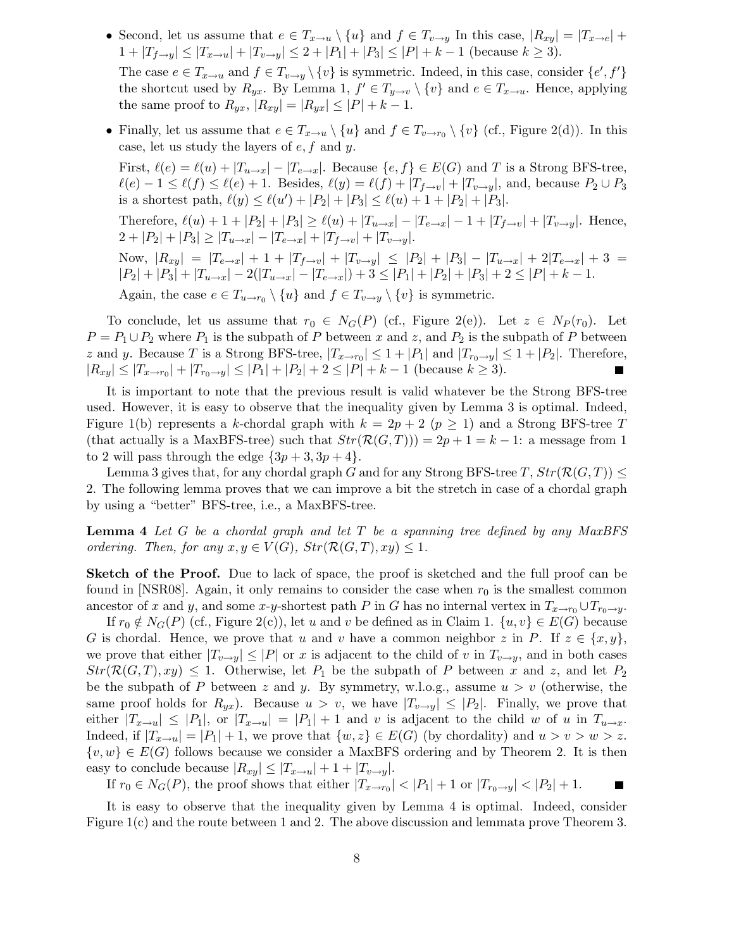- Second, let us assume that  $e \in T_{x\to u} \setminus \{u\}$  and  $f \in T_{v\to y}$  In this case,  $|R_{xy}| = |T_{x\to e}| +$  $1+|T_{f\to y}|\leq |T_{x\to u}|+|T_{v\to y}|\leq 2+|P_1|+|P_3|\leq |P|+k-1$  (because  $k\geq 3$ ). The case  $e \in T_{x \to u}$  and  $f \in T_{v \to y} \setminus \{v\}$  is symmetric. Indeed, in this case, consider  $\{e', f'\}$ the shortcut used by  $R_{yx}$ . By Lemma 1,  $f' \in T_{y \to v} \setminus \{v\}$  and  $e \in T_{x \to u}$ . Hence, applying the same proof to  $R_{yx}$ ,  $|R_{xy}| = |R_{yx}| \leq |P| + k - 1$ .
- Finally, let us assume that  $e \in T_{x \to u} \setminus \{u\}$  and  $f \in T_{v \to r_0} \setminus \{v\}$  (cf., Figure 2(d)). In this case, let us study the layers of  $e, f$  and  $y$ .

First,  $\ell(e) = \ell(u) + |T_{u\to x}| - |T_{e\to x}|$ . Because  $\{e, f\} \in E(G)$  and T is a Strong BFS-tree,  $\ell(e) - 1 \leq \ell(f) \leq \ell(e) + 1$ . Besides,  $\ell(y) = \ell(f) + |T_{f \to v}| + |T_{v \to y}|$ , and, because  $P_2 \cup P_3$ is a shortest path,  $\ell(y) \le \ell(u') + |P_2| + |P_3| \le \ell(u) + 1 + |P_2| + |P_3|$ .

Therefore,  $\ell(u) + 1 + |P_2| + |P_3| \ge \ell(u) + |T_{u \to x}| - |T_{e \to x}| - 1 + |T_{f \to v}| + |T_{v \to y}|$ . Hence,  $2+|P_2|+|P_3|\geq |T_{u\to x}|-|T_{e\to x}|+|T_{f\to y}|+|T_{v\to y}|.$ 

Now,  $|R_{xy}| = |T_{e \to x}| + 1 + |T_{f \to v}| + |T_{v \to y}| \leq |P_2| + |P_3| - |T_{u \to x}| + 2|T_{e \to x}| + 3 =$  $|P_2| + |P_3| + |T_{u \to x}| - 2(|T_{u \to x}| - |T_{e \to x}|) + 3 \leq |P_1| + |P_2| + |P_3| + 2 \leq |P| + k - 1.$ Again, the case  $e \in T_{u \to r_0} \setminus \{u\}$  and  $f \in T_{v \to y} \setminus \{v\}$  is symmetric.

To conclude, let us assume that  $r_0 \in N_G(P)$  (cf., Figure 2(e)). Let  $z \in N_P(r_0)$ . Let  $P = P_1 \cup P_2$  where  $P_1$  is the subpath of P between x and z, and  $P_2$  is the subpath of P between z and y. Because T is a Strong BFS-tree,  $|T_{x \to r_0}| \leq 1 + |P_1|$  and  $|T_{r_0 \to y}| \leq 1 + |P_2|$ . Therefore,  $|R_{xy}| \leq |T_{x \to r_0}| + |T_{r_0 \to y}| \leq |P_1| + |P_2| + 2 \leq |P| + k - 1$  (because  $k \geq 3$ ).

It is important to note that the previous result is valid whatever be the Strong BFS-tree used. However, it is easy to observe that the inequality given by Lemma 3 is optimal. Indeed, Figure 1(b) represents a k-chordal graph with  $k = 2p + 2$  ( $p \ge 1$ ) and a Strong BFS-tree T (that actually is a MaxBFS-tree) such that  $Str(\mathcal{R}(G,T)) = 2p + 1 = k - 1$ : a message from 1 to 2 will pass through the edge  $\{3p+3, 3p+4\}.$ 

Lemma 3 gives that, for any chordal graph G and for any Strong BFS-tree T,  $Str(\mathcal{R}(G,T)) \leq$ 2. The following lemma proves that we can improve a bit the stretch in case of a chordal graph by using a "better" BFS-tree, i.e., a MaxBFS-tree.

Lemma 4 *Let* G *be a chordal graph and let* T *be a spanning tree defined by any MaxBFS ordering. Then, for any*  $x, y \in V(G)$ *,*  $Str(\mathcal{R}(G,T), xy) \leq 1$ *.* 

Sketch of the Proof. Due to lack of space, the proof is sketched and the full proof can be found in [NSR08]. Again, it only remains to consider the case when  $r_0$  is the smallest common ancestor of x and y, and some x-y-shortest path P in G has no internal vertex in  $T_{x\to r_0} \cup T_{r_0\to y}$ .

If  $r_0 \notin N_G(P)$  (cf., Figure 2(c)), let u and v be defined as in Claim 1.  $\{u, v\} \in E(G)$  because G is chordal. Hence, we prove that u and v have a common neighbor z in P. If  $z \in \{x, y\}$ , we prove that either  $|T_{v\to y}| \leq |P|$  or x is adjacent to the child of v in  $T_{v\to y}$ , and in both cases  $Str(\mathcal{R}(G,T),xy) \leq 1$ . Otherwise, let  $P_1$  be the subpath of P between x and z, and let  $P_2$ be the subpath of P between z and y. By symmetry, w.l.o.g., assume  $u > v$  (otherwise, the same proof holds for  $R_{ux}$ ). Because  $u > v$ , we have  $|T_{v \to u}| \leq |P_2|$ . Finally, we prove that either  $|T_{x\to u}| \leq |P_1|$ , or  $|T_{x\to u}| = |P_1| + 1$  and v is adjacent to the child w of u in  $T_{u\to x}$ . Indeed, if  $|T_{x\to u}| = |P_1| + 1$ , we prove that  $\{w, z\} \in E(G)$  (by chordality) and  $u > v > w > z$ .  $\{v,w\} \in E(G)$  follows because we consider a MaxBFS ordering and by Theorem 2. It is then easy to conclude because  $|R_{xy}| \leq |T_{x\to u}| + 1 + |T_{v\to y}|$ .

If  $r_0 \in N_G(P)$ , the proof shows that either  $|T_{x \to r_0}| < |P_1| + 1$  or  $|T_{r_0 \to y}| < |P_2| + 1$ .

It is easy to observe that the inequality given by Lemma 4 is optimal. Indeed, consider Figure 1(c) and the route between 1 and 2. The above discussion and lemmata prove Theorem 3.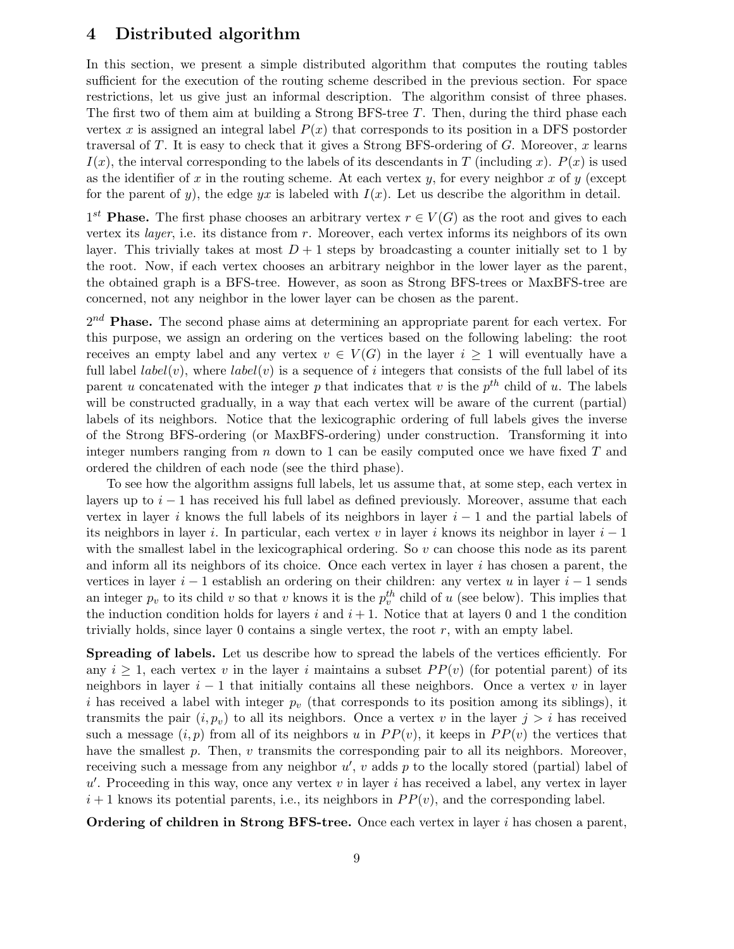## 4 Distributed algorithm

In this section, we present a simple distributed algorithm that computes the routing tables sufficient for the execution of the routing scheme described in the previous section. For space restrictions, let us give just an informal description. The algorithm consist of three phases. The first two of them aim at building a Strong BFS-tree T. Then, during the third phase each vertex x is assigned an integral label  $P(x)$  that corresponds to its position in a DFS postorder traversal of T. It is easy to check that it gives a Strong BFS-ordering of  $G$ . Moreover,  $x$  learns  $I(x)$ , the interval corresponding to the labels of its descendants in T (including x).  $P(x)$  is used as the identifier of x in the routing scheme. At each vertex y, for every neighbor x of y (except for the parent of y), the edge yx is labeled with  $I(x)$ . Let us describe the algorithm in detail.

 $1^{st}$  **Phase.** The first phase chooses an arbitrary vertex  $r \in V(G)$  as the root and gives to each vertex its *layer*, i.e. its distance from r. Moreover, each vertex informs its neighbors of its own layer. This trivially takes at most  $D+1$  steps by broadcasting a counter initially set to 1 by the root. Now, if each vertex chooses an arbitrary neighbor in the lower layer as the parent, the obtained graph is a BFS-tree. However, as soon as Strong BFS-trees or MaxBFS-tree are concerned, not any neighbor in the lower layer can be chosen as the parent.

 $2^{nd}$  Phase. The second phase aims at determining an appropriate parent for each vertex. For this purpose, we assign an ordering on the vertices based on the following labeling: the root receives an empty label and any vertex  $v \in V(G)$  in the layer  $i \geq 1$  will eventually have a full label  $label(v)$ , where  $label(v)$  is a sequence of i integers that consists of the full label of its parent u concatenated with the integer p that indicates that v is the  $p^{th}$  child of u. The labels will be constructed gradually, in a way that each vertex will be aware of the current (partial) labels of its neighbors. Notice that the lexicographic ordering of full labels gives the inverse of the Strong BFS-ordering (or MaxBFS-ordering) under construction. Transforming it into integer numbers ranging from  $n$  down to 1 can be easily computed once we have fixed  $T$  and ordered the children of each node (see the third phase).

To see how the algorithm assigns full labels, let us assume that, at some step, each vertex in layers up to  $i - 1$  has received his full label as defined previously. Moreover, assume that each vertex in layer i knows the full labels of its neighbors in layer  $i - 1$  and the partial labels of its neighbors in layer i. In particular, each vertex v in layer i knows its neighbor in layer  $i-1$ with the smallest label in the lexicographical ordering. So  $v$  can choose this node as its parent and inform all its neighbors of its choice. Once each vertex in layer i has chosen a parent, the vertices in layer  $i - 1$  establish an ordering on their children: any vertex u in layer  $i - 1$  sends an integer  $p_v$  to its child v so that v knows it is the  $p_v^{th}$  child of u (see below). This implies that the induction condition holds for layers i and  $i + 1$ . Notice that at layers 0 and 1 the condition trivially holds, since layer 0 contains a single vertex, the root  $r$ , with an empty label.

Spreading of labels. Let us describe how to spread the labels of the vertices efficiently. For any  $i \geq 1$ , each vertex v in the layer i maintains a subset  $PP(v)$  (for potential parent) of its neighbors in layer  $i - 1$  that initially contains all these neighbors. Once a vertex v in layer i has received a label with integer  $p_v$  (that corresponds to its position among its siblings), it transmits the pair  $(i, p_v)$  to all its neighbors. Once a vertex v in the layer  $j > i$  has received such a message  $(i, p)$  from all of its neighbors u in  $PP(v)$ , it keeps in  $PP(v)$  the vertices that have the smallest  $p$ . Then,  $v$  transmits the corresponding pair to all its neighbors. Moreover, receiving such a message from any neighbor  $u'$ ,  $v$  adds  $p$  to the locally stored (partial) label of  $u'$ . Proceeding in this way, once any vertex  $v$  in layer i has received a label, any vertex in layer  $i+1$  knows its potential parents, i.e., its neighbors in  $PP(v)$ , and the corresponding label.

Ordering of children in Strong BFS-tree. Once each vertex in layer  $i$  has chosen a parent,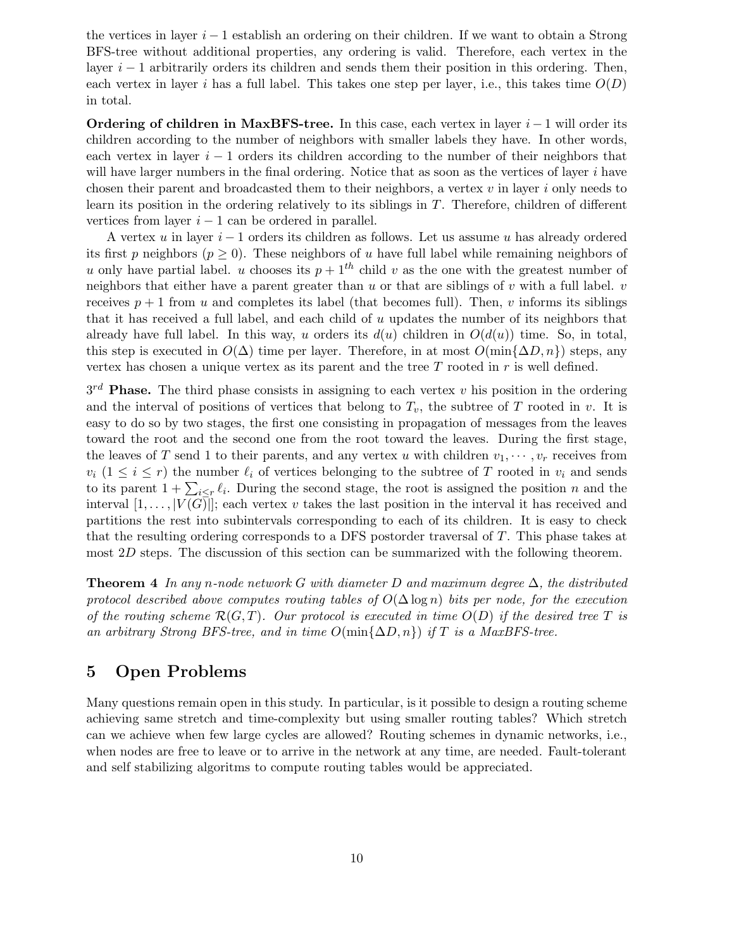the vertices in layer  $i - 1$  establish an ordering on their children. If we want to obtain a Strong BFS-tree without additional properties, any ordering is valid. Therefore, each vertex in the layer  $i - 1$  arbitrarily orders its children and sends them their position in this ordering. Then, each vertex in layer i has a full label. This takes one step per layer, i.e., this takes time  $O(D)$ in total.

**Ordering of children in MaxBFS-tree.** In this case, each vertex in layer  $i - 1$  will order its children according to the number of neighbors with smaller labels they have. In other words, each vertex in layer  $i - 1$  orders its children according to the number of their neighbors that will have larger numbers in the final ordering. Notice that as soon as the vertices of layer  $i$  have chosen their parent and broadcasted them to their neighbors, a vertex  $v$  in layer  $i$  only needs to learn its position in the ordering relatively to its siblings in  $T$ . Therefore, children of different vertices from layer  $i - 1$  can be ordered in parallel.

A vertex u in layer  $i-1$  orders its children as follows. Let us assume u has already ordered its first p neighbors ( $p \geq 0$ ). These neighbors of u have full label while remaining neighbors of u only have partial label. u chooses its  $p + 1<sup>th</sup>$  child v as the one with the greatest number of neighbors that either have a parent greater than  $u$  or that are siblings of  $v$  with a full label.  $v$ receives  $p + 1$  from u and completes its label (that becomes full). Then, v informs its siblings that it has received a full label, and each child of  $u$  updates the number of its neighbors that already have full label. In this way, u orders its  $d(u)$  children in  $O(d(u))$  time. So, in total, this step is executed in  $O(\Delta)$  time per layer. Therefore, in at most  $O(\min{\{\Delta D, n\}})$  steps, any vertex has chosen a unique vertex as its parent and the tree  $T$  rooted in  $r$  is well defined.

 $3^{rd}$  **Phase.** The third phase consists in assigning to each vertex v his position in the ordering and the interval of positions of vertices that belong to  $T_v$ , the subtree of T rooted in v. It is easy to do so by two stages, the first one consisting in propagation of messages from the leaves toward the root and the second one from the root toward the leaves. During the first stage, the leaves of T send 1 to their parents, and any vertex u with children  $v_1, \dots, v_r$  receives from  $v_i$   $(1 \leq i \leq r)$  the number  $\ell_i$  of vertices belonging to the subtree of T rooted in  $v_i$  and sends to its parent  $1 + \sum_{i \leq r} \ell_i$ . During the second stage, the root is assigned the position n and the interval  $[1,\ldots, |V(G)|]$ ; each vertex v takes the last position in the interval it has received and partitions the rest into subintervals corresponding to each of its children. It is easy to check that the resulting ordering corresponds to a DFS postorder traversal of T. This phase takes at most 2D steps. The discussion of this section can be summarized with the following theorem.

Theorem 4 *In any* n*-node network* G *with diameter* D *and maximum degree* ∆*, the distributed protocol described above computes routing tables of* O(∆ log n) *bits per node, for the execution of the routing scheme* R(G,T)*. Our protocol is executed in time* O(D) *if the desired tree* T *is an arbitrary Strong BFS-tree, and in time*  $O(\min\{\Delta D, n\})$  *if* T *is a MaxBFS-tree.* 

# 5 Open Problems

Many questions remain open in this study. In particular, is it possible to design a routing scheme achieving same stretch and time-complexity but using smaller routing tables? Which stretch can we achieve when few large cycles are allowed? Routing schemes in dynamic networks, i.e., when nodes are free to leave or to arrive in the network at any time, are needed. Fault-tolerant and self stabilizing algoritms to compute routing tables would be appreciated.